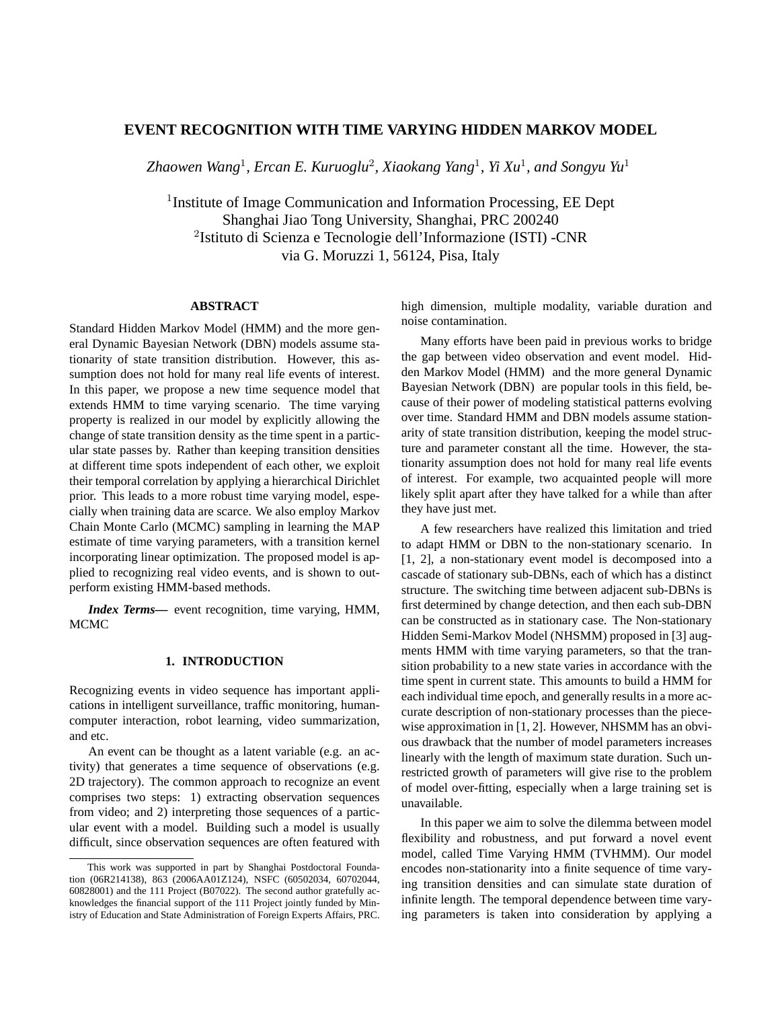# **EVENT RECOGNITION WITH TIME VARYING HIDDEN MARKOV MODEL**

Zhaowen Wang<sup>1</sup>, Ercan E. Kuruoglu<sup>2</sup>, Xiaokang Yang<sup>1</sup>, Yi Xu<sup>1</sup>, and Songyu Yu<sup>1</sup>

<sup>1</sup> Institute of Image Communication and Information Processing, EE Dept Shanghai Jiao Tong University, Shanghai, PRC 200240 2 Istituto di Scienza e Tecnologie dell'Informazione (ISTI) -CNR via G. Moruzzi 1, 56124, Pisa, Italy

# **ABSTRACT**

Standard Hidden Markov Model (HMM) and the more general Dynamic Bayesian Network (DBN) models assume stationarity of state transition distribution. However, this assumption does not hold for many real life events of interest. In this paper, we propose a new time sequence model that extends HMM to time varying scenario. The time varying property is realized in our model by explicitly allowing the change of state transition density as the time spent in a particular state passes by. Rather than keeping transition densities at different time spots independent of each other, we exploit their temporal correlation by applying a hierarchical Dirichlet prior. This leads to a more robust time varying model, especially when training data are scarce. We also employ Markov Chain Monte Carlo (MCMC) sampling in learning the MAP estimate of time varying parameters, with a transition kernel incorporating linear optimization. The proposed model is applied to recognizing real video events, and is shown to outperform existing HMM-based methods.

*Index Terms***—** event recognition, time varying, HMM, MCMC

# **1. INTRODUCTION**

Recognizing events in video sequence has important applications in intelligent surveillance, traffic monitoring, humancomputer interaction, robot learning, video summarization, and etc.

An event can be thought as a latent variable (e.g. an activity) that generates a time sequence of observations (e.g. 2D trajectory). The common approach to recognize an event comprises two steps: 1) extracting observation sequences from video; and 2) interpreting those sequences of a particular event with a model. Building such a model is usually difficult, since observation sequences are often featured with high dimension, multiple modality, variable duration and noise contamination.

Many efforts have been paid in previous works to bridge the gap between video observation and event model. Hidden Markov Model (HMM) and the more general Dynamic Bayesian Network (DBN) are popular tools in this field, because of their power of modeling statistical patterns evolving over time. Standard HMM and DBN models assume stationarity of state transition distribution, keeping the model structure and parameter constant all the time. However, the stationarity assumption does not hold for many real life events of interest. For example, two acquainted people will more likely split apart after they have talked for a while than after they have just met.

A few researchers have realized this limitation and tried to adapt HMM or DBN to the non-stationary scenario. In [1, 2], a non-stationary event model is decomposed into a cascade of stationary sub-DBNs, each of which has a distinct structure. The switching time between adjacent sub-DBNs is first determined by change detection, and then each sub-DBN can be constructed as in stationary case. The Non-stationary Hidden Semi-Markov Model (NHSMM) proposed in [3] augments HMM with time varying parameters, so that the transition probability to a new state varies in accordance with the time spent in current state. This amounts to build a HMM for each individual time epoch, and generally results in a more accurate description of non-stationary processes than the piecewise approximation in [1, 2]. However, NHSMM has an obvious drawback that the number of model parameters increases linearly with the length of maximum state duration. Such unrestricted growth of parameters will give rise to the problem of model over-fitting, especially when a large training set is unavailable.

In this paper we aim to solve the dilemma between model flexibility and robustness, and put forward a novel event model, called Time Varying HMM (TVHMM). Our model encodes non-stationarity into a finite sequence of time varying transition densities and can simulate state duration of infinite length. The temporal dependence between time varying parameters is taken into consideration by applying a

This work was supported in part by Shanghai Postdoctoral Foundation (06R214138), 863 (2006AA01Z124), NSFC (60502034, 60702044, 60828001) and the 111 Project (B07022). The second author gratefully acknowledges the financial support of the 111 Project jointly funded by Ministry of Education and State Administration of Foreign Experts Affairs, PRC.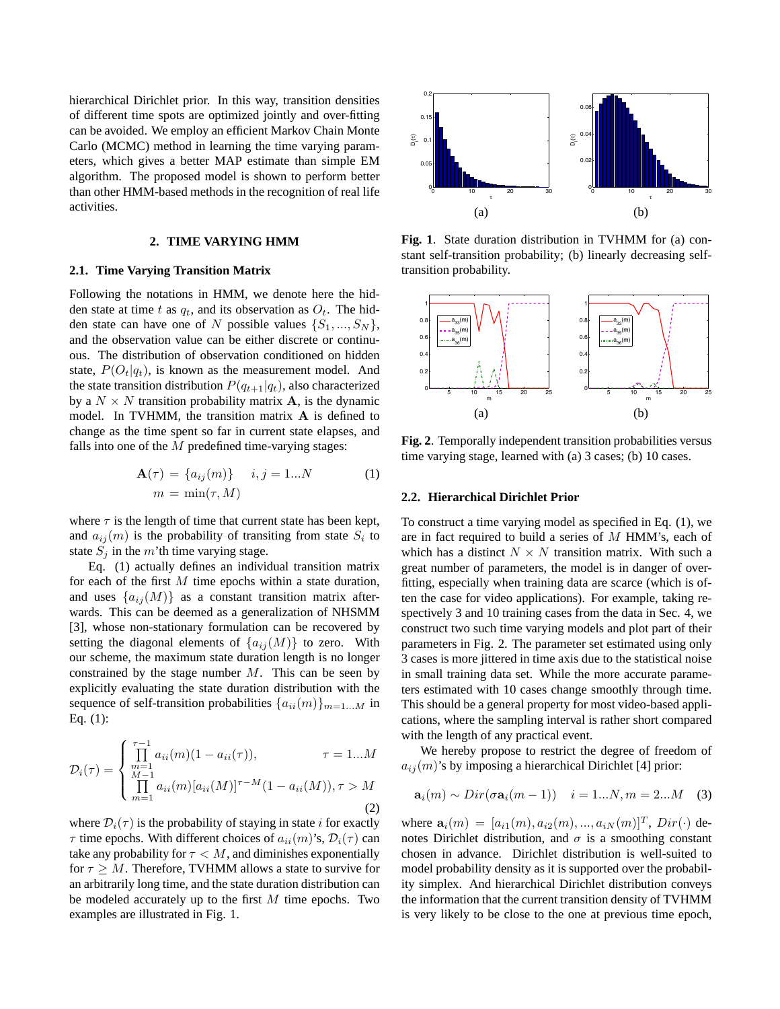hierarchical Dirichlet prior. In this way, transition densities of different time spots are optimized jointly and over-fitting can be avoided. We employ an efficient Markov Chain Monte Carlo (MCMC) method in learning the time varying parameters, which gives a better MAP estimate than simple EM algorithm. The proposed model is shown to perform better than other HMM-based methods in the recognition of real life activities.

### **2. TIME VARYING HMM**

#### **2.1. Time Varying Transition Matrix**

Following the notations in HMM, we denote here the hidden state at time t as  $q_t$ , and its observation as  $O_t$ . The hidden state can have one of N possible values  $\{S_1, ..., S_N\},\$ and the observation value can be either discrete or continuous. The distribution of observation conditioned on hidden state,  $P(O_t|q_t)$ , is known as the measurement model. And the state transition distribution  $P(q_{t+1}|q_t)$ , also characterized by a  $N \times N$  transition probability matrix **A**, is the dynamic model. In TVHMM, the transition matrix A is defined to change as the time spent so far in current state elapses, and falls into one of the  $M$  predefined time-varying stages:

$$
\mathbf{A}(\tau) = \{a_{ij}(m)\} \quad i, j = 1...N \tag{1}
$$
\n
$$
m = \min(\tau, M)
$$

where  $\tau$  is the length of time that current state has been kept, and  $a_{ij}(m)$  is the probability of transiting from state  $S_i$  to state  $S_j$  in the m'th time varying stage.

Eq. (1) actually defines an individual transition matrix for each of the first  $M$  time epochs within a state duration, and uses  $\{a_{ij}(M)\}\$ as a constant transition matrix afterwards. This can be deemed as a generalization of NHSMM [3], whose non-stationary formulation can be recovered by setting the diagonal elements of  $\{a_{ij}(M)\}\)$  to zero. With our scheme, the maximum state duration length is no longer constrained by the stage number  $M$ . This can be seen by explicitly evaluating the state duration distribution with the sequence of self-transition probabilities  $\{a_{ii}(m)\}_{m=1...M}$  in Eq. (1):

$$
\mathcal{D}_{i}(\tau) = \begin{cases} \prod_{m=1}^{\tau-1} a_{ii}(m)(1 - a_{ii}(\tau)), & \tau = 1...M\\ \prod_{m=1}^{M-1} a_{ii}(m)[a_{ii}(M)]^{\tau-M}(1 - a_{ii}(M)), \tau > M \end{cases}
$$
\n(2)

where  $\mathcal{D}_i(\tau)$  is the probability of staying in state i for exactly  $\tau$  time epochs. With different choices of  $a_{ii}(m)$ 's,  $\mathcal{D}_i(\tau)$  can take any probability for  $\tau < M$ , and diminishes exponentially for  $\tau \geq M$ . Therefore, TVHMM allows a state to survive for an arbitrarily long time, and the state duration distribution can be modeled accurately up to the first  $M$  time epochs. Two examples are illustrated in Fig. 1.



**Fig. 1**. State duration distribution in TVHMM for (a) constant self-transition probability; (b) linearly decreasing selftransition probability.



**Fig. 2**. Temporally independent transition probabilities versus time varying stage, learned with (a) 3 cases; (b) 10 cases.

# **2.2. Hierarchical Dirichlet Prior**

To construct a time varying model as specified in Eq. (1), we are in fact required to build a series of M HMM's, each of which has a distinct  $N \times N$  transition matrix. With such a great number of parameters, the model is in danger of overfitting, especially when training data are scarce (which is often the case for video applications). For example, taking respectively 3 and 10 training cases from the data in Sec. 4, we construct two such time varying models and plot part of their parameters in Fig. 2. The parameter set estimated using only 3 cases is more jittered in time axis due to the statistical noise in small training data set. While the more accurate parameters estimated with 10 cases change smoothly through time. This should be a general property for most video-based applications, where the sampling interval is rather short compared with the length of any practical event.

We hereby propose to restrict the degree of freedom of  $a_{ij}(m)$ 's by imposing a hierarchical Dirichlet [4] prior:

$$
\mathbf{a}_i(m) \sim Dir(\sigma \mathbf{a}_i(m-1)) \quad i = 1...N, m = 2...M \quad (3)
$$

where  $\mathbf{a}_i(m) = [a_{i1}(m), a_{i2}(m), ..., a_{iN}(m)]^T$ ,  $Dir(\cdot)$  denotes Dirichlet distribution, and  $\sigma$  is a smoothing constant chosen in advance. Dirichlet distribution is well-suited to model probability density as it is supported over the probability simplex. And hierarchical Dirichlet distribution conveys the information that the current transition density of TVHMM is very likely to be close to the one at previous time epoch,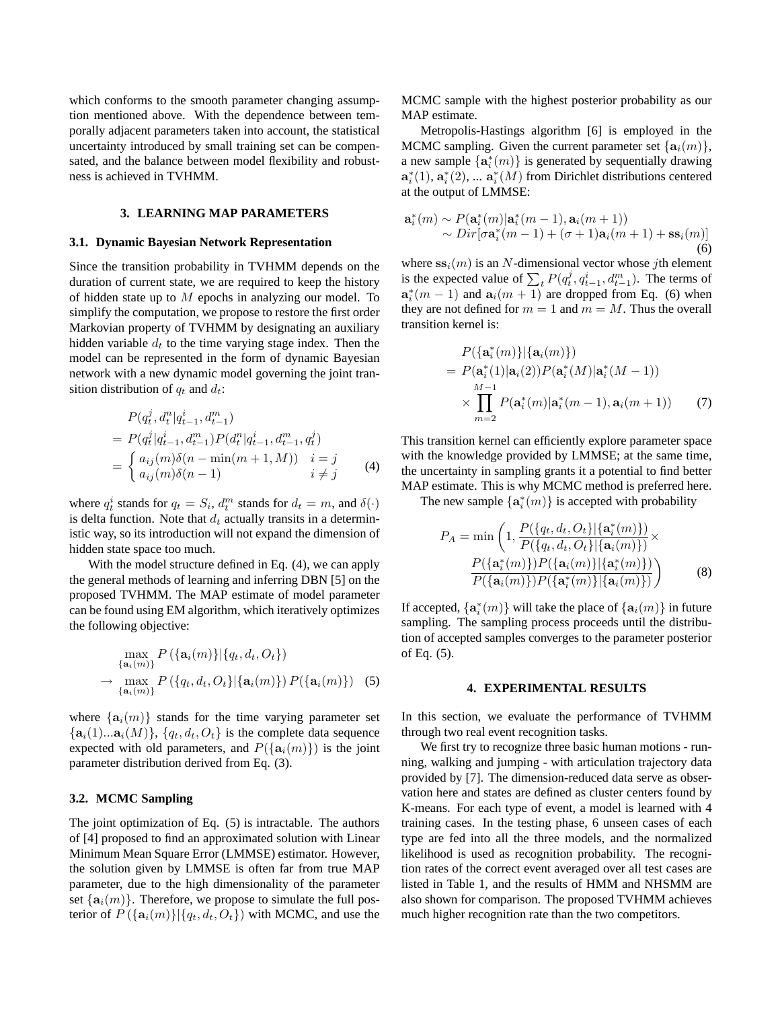which conforms to the smooth parameter changing assumption mentioned above. With the dependence between temporally adjacent parameters taken into account, the statistical uncertainty introduced by small training set can be compensated, and the balance between model flexibility and robustness is achieved in TVHMM.

# **3. LEARNING MAP PARAMETERS**

#### **3.1. Dynamic Bayesian Network Representation**

Since the transition probability in TVHMM depends on the duration of current state, we are required to keep the history of hidden state up to  $M$  epochs in analyzing our model. To simplify the computation, we propose to restore the first order Markovian property of TVHMM by designating an auxiliary hidden variable  $d_t$  to the time varying stage index. Then the model can be represented in the form of dynamic Bayesian network with a new dynamic model governing the joint transition distribution of  $q_t$  and  $d_t$ :

$$
P(q_t^j, d_t^n | q_{t-1}^i, d_{t-1}^m)
$$
  
= 
$$
P(q_t^j | q_{t-1}^i, d_{t-1}^m) P(d_t^n | q_{t-1}^i, d_{t-1}^m, q_t^j)
$$
  
= 
$$
\begin{cases} a_{ij}(m) \delta(n - \min(m+1, M)) & i = j \\ a_{ij}(m) \delta(n-1) & i \neq j \end{cases}
$$
 (4)

where  $q_t^i$  stands for  $q_t = S_i$ ,  $d_t^m$  stands for  $d_t = m$ , and  $\delta(\cdot)$ is delta function. Note that  $d_t$  actually transits in a deterministic way, so its introduction will not expand the dimension of hidden state space too much.

With the model structure defined in Eq. (4), we can apply the general methods of learning and inferring DBN [5] on the proposed TVHMM. The MAP estimate of model parameter can be found using EM algorithm, which iteratively optimizes the following objective:

$$
\max_{\{\mathbf{a}_i(m)\}} P\left(\{\mathbf{a}_i(m)\}|\{q_t, d_t, O_t\}\right) \n\to \max_{\{\mathbf{a}_i(m)\}} P\left(\{q_t, d_t, O_t\}|\{\mathbf{a}_i(m)\}\right) P(\{\mathbf{a}_i(m)\})
$$
(5)

where  $\{a_i(m)\}\$  stands for the time varying parameter set  ${a_i(1)...a_i(M)}$ ,  ${q_t, d_t, O_t}$  is the complete data sequence expected with old parameters, and  $P({\{a_i(m)\}})$  is the joint parameter distribution derived from Eq. (3).

# **3.2. MCMC Sampling**

The joint optimization of Eq. (5) is intractable. The authors of [4] proposed to find an approximated solution with Linear Minimum Mean Square Error (LMMSE) estimator. However, the solution given by LMMSE is often far from true MAP parameter, due to the high dimensionality of the parameter set  $\{a_i(m)\}\$ . Therefore, we propose to simulate the full posterior of  $P(\{a_i(m)\}|\{q_t, d_t, O_t\})$  with MCMC, and use the MCMC sample with the highest posterior probability as our MAP estimate.

Metropolis-Hastings algorithm [6] is employed in the MCMC sampling. Given the current parameter set  $\{a_i(m)\}\,$ a new sample  $\{a_i^*(m)\}$  is generated by sequentially drawing  $\mathbf{a}_i^*(1), \mathbf{a}_i^*(2), \dots \mathbf{a}_i^*(M)$  from Dirichlet distributions centered at the output of LMMSE:

$$
\mathbf{a}_{i}^{*}(m) \sim P(\mathbf{a}_{i}^{*}(m)|\mathbf{a}_{i}^{*}(m-1), \mathbf{a}_{i}(m+1))
$$
  
 
$$
\sim Dir[\sigma \mathbf{a}_{i}^{*}(m-1) + (\sigma + 1)\mathbf{a}_{i}(m+1) + \mathbf{ss}_{i}(m)]
$$
  
(6)

where  $ss_i(m)$  is an N-dimensional vector whose jth element is the expected value of  $\sum_{t} P(q_t^j, q_{t-1}^i, d_{t-1}^m)$ . The terms of  $\mathbf{a}_i^*(m-1)$  and  $\mathbf{a}_i(m+1)$  are dropped from Eq. (6) when they are not defined for  $m = 1$  and  $m = M$ . Thus the overall transition kernel is:

$$
P(\{\mathbf{a}_i^*(m)\}|\{\mathbf{a}_i(m)\})
$$
  
=  $P(\mathbf{a}_i^*(1)|\mathbf{a}_i(2))P(\mathbf{a}_i^*(M)|\mathbf{a}_i^*(M-1))$   
 $\times \prod_{m=2}^{M-1} P(\mathbf{a}_i^*(m)|\mathbf{a}_i^*(m-1), \mathbf{a}_i(m+1))$  (7)

This transition kernel can efficiently explore parameter space with the knowledge provided by LMMSE; at the same time, the uncertainty in sampling grants it a potential to find better MAP estimate. This is why MCMC method is preferred here.

The new sample  $\{a_i^*(m)\}\$ is accepted with probability

$$
P_A = \min\left(1, \frac{P(\{q_t, d_t, O_t\}|\{\mathbf{a}_i^*(m)\})}{P(\{q_t, d_t, O_t\}|\{\mathbf{a}_i(m)\})}\right) \times \frac{P(\{\mathbf{a}_i^*(m)\})P(\{\mathbf{a}_i(m)\}|\{\mathbf{a}_i^*(m)\})}{P(\{\mathbf{a}_i(m)\})P(\{\mathbf{a}_i^*(m)\}|\{\mathbf{a}_i(m)\})}\right) \tag{8}
$$

If accepted,  $\{a_i^*(m)\}$  will take the place of  $\{a_i(m)\}$  in future sampling. The sampling process proceeds until the distribution of accepted samples converges to the parameter posterior of Eq. (5).

#### **4. EXPERIMENTAL RESULTS**

In this section, we evaluate the performance of TVHMM through two real event recognition tasks.

We first try to recognize three basic human motions - running, walking and jumping - with articulation trajectory data provided by [7]. The dimension-reduced data serve as observation here and states are defined as cluster centers found by K-means. For each type of event, a model is learned with 4 training cases. In the testing phase, 6 unseen cases of each type are fed into all the three models, and the normalized likelihood is used as recognition probability. The recognition rates of the correct event averaged over all test cases are listed in Table 1, and the results of HMM and NHSMM are also shown for comparison. The proposed TVHMM achieves much higher recognition rate than the two competitors.